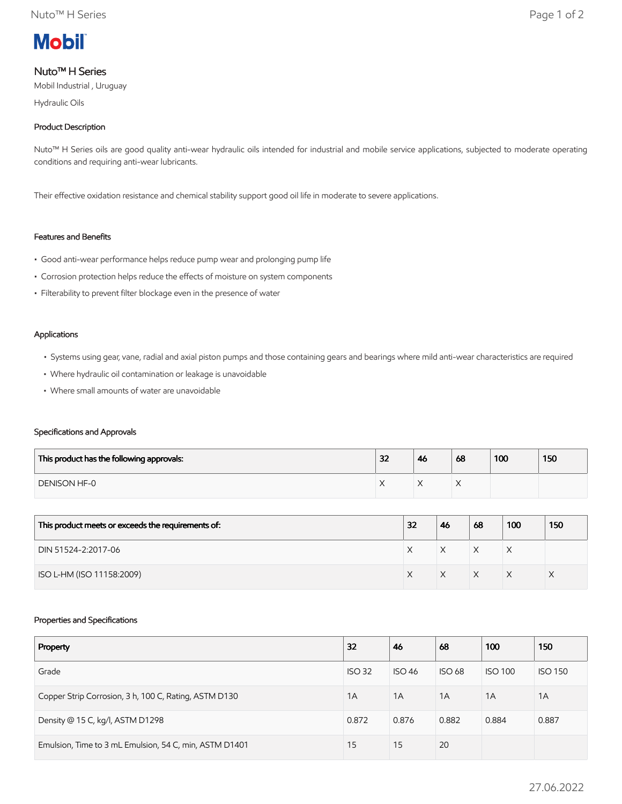

# Nuto™ H Series

Mobil Industrial , Uruguay

Hydraulic Oils

# Product Description

Nuto™ H Series oils are good quality anti-wear hydraulic oils intended for industrial and mobile service applications, subjected to moderate operating conditions and requiring anti-wear lubricants.

Their effective oxidation resistance and chemical stability support good oil life in moderate to severe applications.

## Features and Benefits

- Good anti-wear performance helps reduce pump wear and prolonging pump life
- Corrosion protection helps reduce the effects of moisture on system components
- Filterability to prevent filter blockage even in the presence of water

#### Applications

- Systems using gear, vane, radial and axial piston pumps and those containing gears and bearings where mild anti-wear characteristics are required
- Where hydraulic oil contamination or leakage is unavoidable
- Where small amounts of water are unavoidable

## Specifications and Approvals

| This product has the following approvals: | 32 | 46        | 68 | 100 | 150 |
|-------------------------------------------|----|-----------|----|-----|-----|
| <b>DENISON HF-0</b>                       |    | $\lambda$ |    |     |     |

| This product meets or exceeds the requirements of: | 32 | 46 | 68 | 100 | 150 |
|----------------------------------------------------|----|----|----|-----|-----|
| DIN 51524-2:2017-06                                |    |    |    | X   |     |
| ISO L-HM (ISO 11158:2009)                          |    |    |    | ∧   |     |

#### Properties and Specifications

| Property                                               | 32            | 46            | 68            | 100            | 150            |
|--------------------------------------------------------|---------------|---------------|---------------|----------------|----------------|
| Grade                                                  | <b>ISO 32</b> | <b>ISO 46</b> | <b>ISO 68</b> | <b>ISO 100</b> | <b>ISO 150</b> |
| Copper Strip Corrosion, 3 h, 100 C, Rating, ASTM D130  | 1A            | 1A            | 1A            | 1A             | 1A             |
| Density @ 15 C, kg/l, ASTM D1298                       | 0.872         | 0.876         | 0.882         | 0.884          | 0.887          |
| Emulsion, Time to 3 mL Emulsion, 54 C, min, ASTM D1401 | 15            | 15            | 20            |                |                |